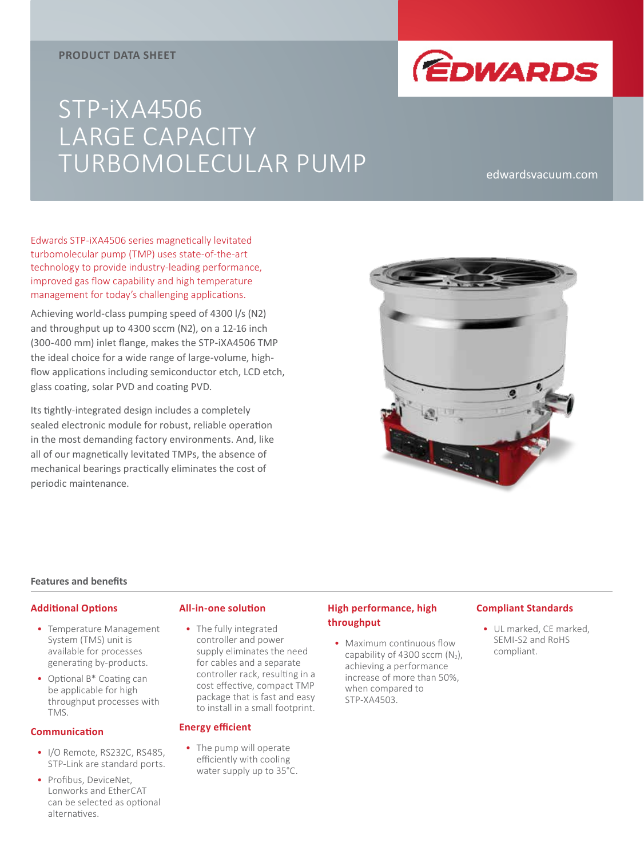## **PRODUCT DATA SHEET**



# STP-iXA4506 LARGE CAPACITY TURBOMOLECULAR PUMP edwardsvacuum.com

Edwards STP-iXA4506 series magnetically levitated turbomolecular pump (TMP) uses state-of-the-art technology to provide industry-leading performance, improved gas flow capability and high temperature management for today's challenging applications.

Achieving world-class pumping speed of 4300 l/s (N2) and throughput up to 4300 sccm (N2), on a 12-16 inch (300-400 mm) inlet flange, makes the STP-iXA4506 TMP the ideal choice for a wide range of large-volume, highflow applications including semiconductor etch, LCD etch, glass coating, solar PVD and coating PVD.

Its tightly-integrated design includes a completely sealed electronic module for robust, reliable operation in the most demanding factory environments. And, like all of our magnetically levitated TMPs, the absence of mechanical bearings practically eliminates the cost of periodic maintenance.



#### **Features and benefits**

#### **Additional Options**

- Temperature Management System (TMS) unit is available for processes generating by-products.
- Optional B\* Coating can be applicable for high throughput processes with TMS.

#### **Communication**

- I/O Remote, RS232C, RS485, STP-Link are standard ports.
- Profibus, DeviceNet, Lonworks and EtherCAT can be selected as optional alternatives.

## **All-in-one solution**

• The fully integrated controller and power supply eliminates the need for cables and a separate controller rack, resulting in a cost effective, compact TMP package that is fast and easy to install in a small footprint.

### **Energy efficient**

• The pump will operate efficiently with cooling water supply up to 35°C.

## **High performance, high throughput**

• Maximum continuous flow capability of 4300 sccm  $(N_2)$ , achieving a performance increase of more than 50%, when compared to STP-XA4503.

## **Compliant Standards**

• UL marked, CE marked, SEMI-S2 and RoHS compliant.